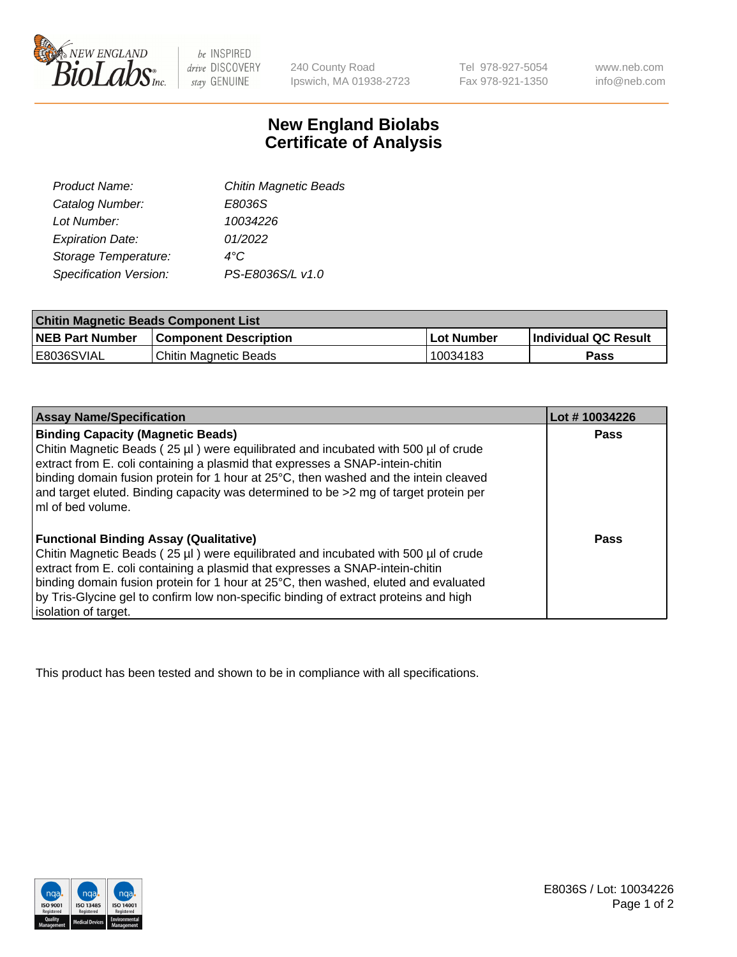

 $be$  INSPIRED drive DISCOVERY stay GENUINE

240 County Road Ipswich, MA 01938-2723 Tel 978-927-5054 Fax 978-921-1350 www.neb.com info@neb.com

## **New England Biolabs Certificate of Analysis**

| Product Name:                 | <b>Chitin Magnetic Beads</b> |
|-------------------------------|------------------------------|
| Catalog Number:               | E8036S                       |
| Lot Number:                   | 10034226                     |
| <b>Expiration Date:</b>       | 01/2022                      |
| Storage Temperature:          | 4°C                          |
| <b>Specification Version:</b> | PS-E8036S/L v1.0             |
|                               |                              |

| <b>Chitin Magnetic Beads Component List</b> |                              |            |                      |  |
|---------------------------------------------|------------------------------|------------|----------------------|--|
| <b>NEB Part Number</b>                      | <b>Component Description</b> | Lot Number | Individual QC Result |  |
| <b>E8036SVIAL</b>                           | Chitin Magnetic Beads        | 10034183   | Pass                 |  |

| <b>Assay Name/Specification</b>                                                                                                                                                                                                                                                                         | Lot #10034226 |
|---------------------------------------------------------------------------------------------------------------------------------------------------------------------------------------------------------------------------------------------------------------------------------------------------------|---------------|
| <b>Binding Capacity (Magnetic Beads)</b><br>Chitin Magnetic Beads (25 µl) were equilibrated and incubated with 500 µl of crude<br>extract from E. coli containing a plasmid that expresses a SNAP-intein-chitin<br>binding domain fusion protein for 1 hour at 25°C, then washed and the intein cleaved | Pass          |
| and target eluted. Binding capacity was determined to be >2 mg of target protein per<br>ImI of bed volume.                                                                                                                                                                                              |               |
| <b>Functional Binding Assay (Qualitative)</b>                                                                                                                                                                                                                                                           | Pass          |
| Chitin Magnetic Beads (25 µl) were equilibrated and incubated with 500 µl of crude                                                                                                                                                                                                                      |               |
| extract from E. coli containing a plasmid that expresses a SNAP-intein-chitin                                                                                                                                                                                                                           |               |
| binding domain fusion protein for 1 hour at 25°C, then washed, eluted and evaluated                                                                                                                                                                                                                     |               |
| by Tris-Glycine gel to confirm low non-specific binding of extract proteins and high                                                                                                                                                                                                                    |               |
| solation of target.                                                                                                                                                                                                                                                                                     |               |

This product has been tested and shown to be in compliance with all specifications.